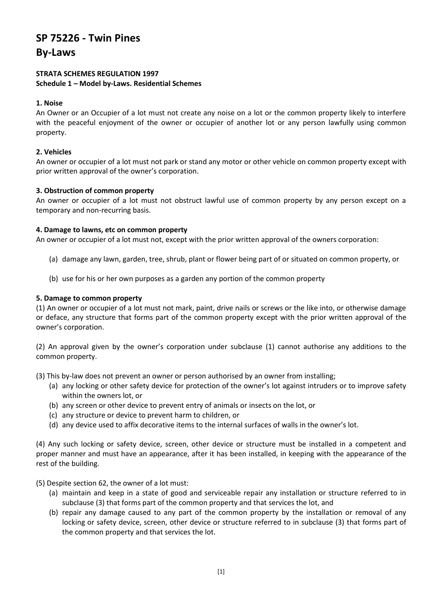# **SP 75226 - Twin Pines**

**By-Laws**

## **STRATA SCHEMES REGULATION 1997 Schedule 1 – Model by-Laws. Residential Schemes**

# **1. Noise**

An Owner or an Occupier of a lot must not create any noise on a lot or the common property likely to interfere with the peaceful enjoyment of the owner or occupier of another lot or any person lawfully using common property.

# **2. Vehicles**

An owner or occupier of a lot must not park or stand any motor or other vehicle on common property except with prior written approval of the owner's corporation.

# **3. Obstruction of common property**

An owner or occupier of a lot must not obstruct lawful use of common property by any person except on a temporary and non-recurring basis.

# **4. Damage to lawns, etc on common property**

An owner or occupier of a lot must not, except with the prior written approval of the owners corporation:

- (a) damage any lawn, garden, tree, shrub, plant or flower being part of or situated on common property, or
- (b) use for his or her own purposes as a garden any portion of the common property

# **5. Damage to common property**

(1) An owner or occupier of a lot must not mark, paint, drive nails or screws or the like into, or otherwise damage or deface, any structure that forms part of the common property except with the prior written approval of the owner's corporation.

(2) An approval given by the owner's corporation under subclause (1) cannot authorise any additions to the common property.

(3) This by-law does not prevent an owner or person authorised by an owner from installing;

- (a) any locking or other safety device for protection of the owner's lot against intruders or to improve safety within the owners lot, or
- (b) any screen or other device to prevent entry of animals or insects on the lot, or
- (c) any structure or device to prevent harm to children, or
- (d) any device used to affix decorative items to the internal surfaces of walls in the owner's lot.

(4) Any such locking or safety device, screen, other device or structure must be installed in a competent and proper manner and must have an appearance, after it has been installed, in keeping with the appearance of the rest of the building.

# (5) Despite section 62, the owner of a lot must:

- (a) maintain and keep in a state of good and serviceable repair any installation or structure referred to in subclause (3) that forms part of the common property and that services the lot, and
- (b) repair any damage caused to any part of the common property by the installation or removal of any locking or safety device, screen, other device or structure referred to in subclause (3) that forms part of the common property and that services the lot.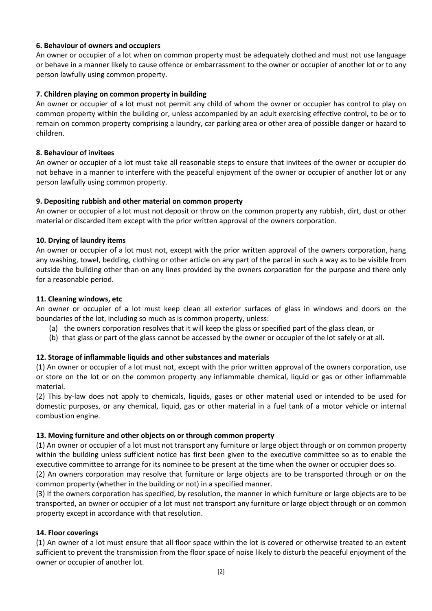# **6. Behaviour of owners and occupiers**

An owner or occupier of a lot when on common property must be adequately clothed and must not use language or behave in a manner likely to cause offence or embarrassment to the owner or occupier of another lot or to any person lawfully using common property.

# **7. Children playing on common property in building**

An owner or occupier of a lot must not permit any child of whom the owner or occupier has control to play on common property within the building or, unless accompanied by an adult exercising effective control, to be or to remain on common property comprising a laundry, car parking area or other area of possible danger or hazard to children.

## **8. Behaviour of invitees**

An owner or occupier of a lot must take all reasonable steps to ensure that invitees of the owner or occupier do not behave in a manner to interfere with the peaceful enjoyment of the owner or occupier of another lot or any person lawfully using common property.

# **9. Depositing rubbish and other material on common property**

An owner or occupier of a lot must not deposit or throw on the common property any rubbish, dirt, dust or other material or discarded item except with the prior written approval of the owners corporation.

# **10. Drying of laundry items**

An owner or occupier of a lot must not, except with the prior written approval of the owners corporation, hang any washing, towel, bedding, clothing or other article on any part of the parcel in such a way as to be visible from outside the building other than on any lines provided by the owners corporation for the purpose and there only for a reasonable period.

# **11. Cleaning windows, etc**

An owner or occupier of a lot must keep clean all exterior surfaces of glass in windows and doors on the boundaries of the lot, including so much as is common property, unless:

- (a) the owners corporation resolves that it will keep the glass or specified part of the glass clean, or
- (b) that glass or part of the glass cannot be accessed by the owner or occupier of the lot safely or at all.

# **12. Storage of inflammable liquids and other substances and materials**

(1) An owner or occupier of a lot must not, except with the prior written approval of the owners corporation, use or store on the lot or on the common property any inflammable chemical, liquid or gas or other inflammable material.

(2) This by-law does not apply to chemicals, liquids, gases or other material used or intended to be used for domestic purposes, or any chemical, liquid, gas or other material in a fuel tank of a motor vehicle or internal combustion engine.

## **13. Moving furniture and other objects on or through common property**

(1) An owner or occupier of a lot must not transport any furniture or large object through or on common property within the building unless sufficient notice has first been given to the executive committee so as to enable the executive committee to arrange for its nominee to be present at the time when the owner or occupier does so.

(2) An owners corporation may resolve that furniture or large objects are to be transported through or on the common property (whether in the building or not) in a specified manner.

(3) If the owners corporation has specified, by resolution, the manner in which furniture or large objects are to be transported, an owner or occupier of a lot must not transport any furniture or large object through or on common property except in accordance with that resolution.

## **14. Floor coverings**

(1) An owner of a lot must ensure that all floor space within the lot is covered or otherwise treated to an extent sufficient to prevent the transmission from the floor space of noise likely to disturb the peaceful enjoyment of the owner or occupier of another lot.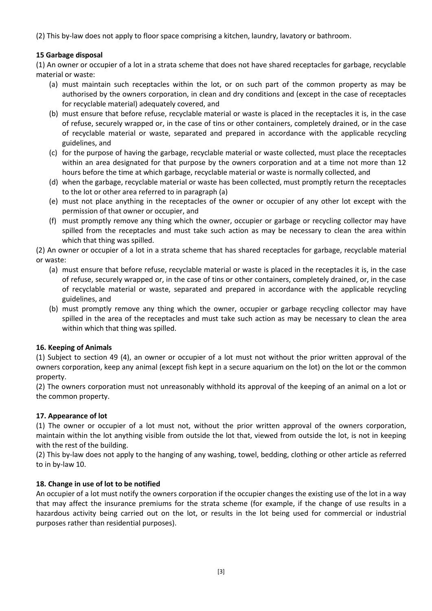(2) This by-law does not apply to floor space comprising a kitchen, laundry, lavatory or bathroom.

# **15 Garbage disposal**

(1) An owner or occupier of a lot in a strata scheme that does not have shared receptacles for garbage, recyclable material or waste:

- (a) must maintain such receptacles within the lot, or on such part of the common property as may be authorised by the owners corporation, in clean and dry conditions and (except in the case of receptacles for recyclable material) adequately covered, and
- (b) must ensure that before refuse, recyclable material or waste is placed in the receptacles it is, in the case of refuse, securely wrapped or, in the case of tins or other containers, completely drained, or in the case of recyclable material or waste, separated and prepared in accordance with the applicable recycling guidelines, and
- (c) for the purpose of having the garbage, recyclable material or waste collected, must place the receptacles within an area designated for that purpose by the owners corporation and at a time not more than 12 hours before the time at which garbage, recyclable material or waste is normally collected, and
- (d) when the garbage, recyclable material or waste has been collected, must promptly return the receptacles to the lot or other area referred to in paragraph (a)
- (e) must not place anything in the receptacles of the owner or occupier of any other lot except with the permission of that owner or occupier, and
- (f) must promptly remove any thing which the owner, occupier or garbage or recycling collector may have spilled from the receptacles and must take such action as may be necessary to clean the area within which that thing was spilled.

(2) An owner or occupier of a lot in a strata scheme that has shared receptacles for garbage, recyclable material or waste:

- (a) must ensure that before refuse, recyclable material or waste is placed in the receptacles it is, in the case of refuse, securely wrapped or, in the case of tins or other containers, completely drained, or, in the case of recyclable material or waste, separated and prepared in accordance with the applicable recycling guidelines, and
- (b) must promptly remove any thing which the owner, occupier or garbage recycling collector may have spilled in the area of the receptacles and must take such action as may be necessary to clean the area within which that thing was spilled.

# **16. Keeping of Animals**

(1) Subject to section 49 (4), an owner or occupier of a lot must not without the prior written approval of the owners corporation, keep any animal (except fish kept in a secure aquarium on the lot) on the lot or the common property.

(2) The owners corporation must not unreasonably withhold its approval of the keeping of an animal on a lot or the common property.

# **17. Appearance of lot**

(1) The owner or occupier of a lot must not, without the prior written approval of the owners corporation, maintain within the lot anything visible from outside the lot that, viewed from outside the lot, is not in keeping with the rest of the building.

(2) This by-law does not apply to the hanging of any washing, towel, bedding, clothing or other article as referred to in by-law 10.

## **18. Change in use of lot to be notified**

An occupier of a lot must notify the owners corporation if the occupier changes the existing use of the lot in a way that may affect the insurance premiums for the strata scheme (for example, if the change of use results in a hazardous activity being carried out on the lot, or results in the lot being used for commercial or industrial purposes rather than residential purposes).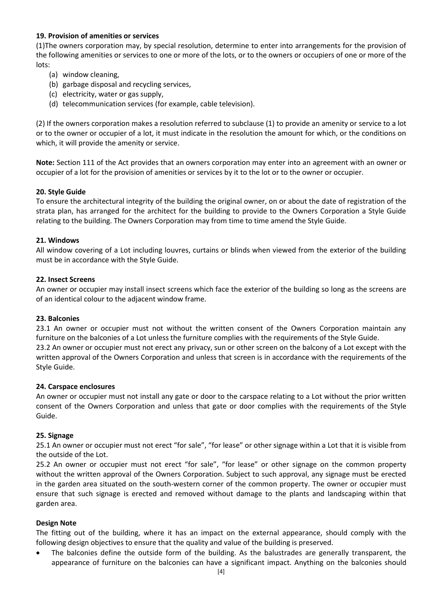# **19. Provision of amenities or services**

(1)The owners corporation may, by special resolution, determine to enter into arrangements for the provision of the following amenities or services to one or more of the lots, or to the owners or occupiers of one or more of the lots:

- (a) window cleaning,
- (b) garbage disposal and recycling services,
- (c) electricity, water or gas supply,
- (d) telecommunication services (for example, cable television).

(2) If the owners corporation makes a resolution referred to subclause (1) to provide an amenity or service to a lot or to the owner or occupier of a lot, it must indicate in the resolution the amount for which, or the conditions on which, it will provide the amenity or service.

**Note:** Section 111 of the Act provides that an owners corporation may enter into an agreement with an owner or occupier of a lot for the provision of amenities or services by it to the lot or to the owner or occupier.

## **20. Style Guide**

To ensure the architectural integrity of the building the original owner, on or about the date of registration of the strata plan, has arranged for the architect for the building to provide to the Owners Corporation a Style Guide relating to the building. The Owners Corporation may from time to time amend the Style Guide.

#### **21. Windows**

All window covering of a Lot including louvres, curtains or blinds when viewed from the exterior of the building must be in accordance with the Style Guide.

#### **22. Insect Screens**

An owner or occupier may install insect screens which face the exterior of the building so long as the screens are of an identical colour to the adjacent window frame.

## **23. Balconies**

23.1 An owner or occupier must not without the written consent of the Owners Corporation maintain any furniture on the balconies of a Lot unless the furniture complies with the requirements of the Style Guide. 23.2 An owner or occupier must not erect any privacy, sun or other screen on the balcony of a Lot except with the written approval of the Owners Corporation and unless that screen is in accordance with the requirements of the Style Guide.

## **24. Carspace enclosures**

An owner or occupier must not install any gate or door to the carspace relating to a Lot without the prior written consent of the Owners Corporation and unless that gate or door complies with the requirements of the Style Guide.

#### **25. Signage**

25.1 An owner or occupier must not erect "for sale", "for lease" or other signage within a Lot that it is visible from the outside of the Lot.

25.2 An owner or occupier must not erect "for sale", "for lease" or other signage on the common property without the written approval of the Owners Corporation. Subject to such approval, any signage must be erected in the garden area situated on the south-western corner of the common property. The owner or occupier must ensure that such signage is erected and removed without damage to the plants and landscaping within that garden area.

#### **Design Note**

The fitting out of the building, where it has an impact on the external appearance, should comply with the following design objectives to ensure that the quality and value of the building is preserved.

 The balconies define the outside form of the building. As the balustrades are generally transparent, the appearance of furniture on the balconies can have a significant impact. Anything on the balconies should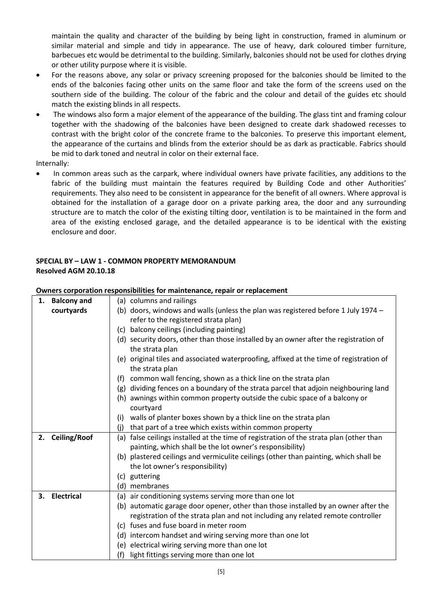maintain the quality and character of the building by being light in construction, framed in aluminum or similar material and simple and tidy in appearance. The use of heavy, dark coloured timber furniture, barbecues etc would be detrimental to the building. Similarly, balconies should not be used for clothes drying or other utility purpose where it is visible.

- For the reasons above, any solar or privacy screening proposed for the balconies should be limited to the ends of the balconies facing other units on the same floor and take the form of the screens used on the southern side of the building. The colour of the fabric and the colour and detail of the guides etc should match the existing blinds in all respects.
- The windows also form a major element of the appearance of the building. The glass tint and framing colour together with the shadowing of the balconies have been designed to create dark shadowed recesses to contrast with the bright color of the concrete frame to the balconies. To preserve this important element, the appearance of the curtains and blinds from the exterior should be as dark as practicable. Fabrics should be mid to dark toned and neutral in color on their external face.

Internally:

 In common areas such as the carpark, where individual owners have private facilities, any additions to the fabric of the building must maintain the features required by Building Code and other Authorities' requirements. They also need to be consistent in appearance for the benefit of all owners. Where approval is obtained for the installation of a garage door on a private parking area, the door and any surrounding structure are to match the color of the existing tilting door, ventilation is to be maintained in the form and area of the existing enclosed garage, and the detailed appearance is to be identical with the existing enclosure and door.

# **SPECIAL BY – LAW 1 - COMMON PROPERTY MEMORANDUM Resolved AGM 20.10.18**

| 1. | <b>Balcony and</b> | (a) columns and railings                                                                                   |
|----|--------------------|------------------------------------------------------------------------------------------------------------|
|    | courtyards         | (b) doors, windows and walls (unless the plan was registered before 1 July 1974 -                          |
|    |                    | refer to the registered strata plan)                                                                       |
|    |                    | balcony ceilings (including painting)<br>(c)                                                               |
|    |                    | (d) security doors, other than those installed by an owner after the registration of<br>the strata plan    |
|    |                    | (e) original tiles and associated waterproofing, affixed at the time of registration of<br>the strata plan |
|    |                    | common wall fencing, shown as a thick line on the strata plan<br>(f)                                       |
|    |                    | dividing fences on a boundary of the strata parcel that adjoin neighbouring land<br>(g)                    |
|    |                    | awnings within common property outside the cubic space of a balcony or<br>(h)                              |
|    |                    | courtyard                                                                                                  |
|    |                    | walls of planter boxes shown by a thick line on the strata plan<br>(i)                                     |
|    |                    | that part of a tree which exists within common property<br>(i)                                             |
|    | 2. Ceiling/Roof    | false ceilings installed at the time of registration of the strata plan (other than<br>(a)                 |
|    |                    | painting, which shall be the lot owner's responsibility)                                                   |
|    |                    | (b) plastered ceilings and vermiculite ceilings (other than painting, which shall be                       |
|    |                    | the lot owner's responsibility)                                                                            |
|    |                    | (c) guttering                                                                                              |
|    |                    | membranes<br>(d)                                                                                           |
| З. | <b>Electrical</b>  | (a) air conditioning systems serving more than one lot                                                     |
|    |                    | (b) automatic garage door opener, other than those installed by an owner after the                         |
|    |                    | registration of the strata plan and not including any related remote controller                            |
|    |                    | (c) fuses and fuse board in meter room                                                                     |
|    |                    | (d) intercom handset and wiring serving more than one lot                                                  |
|    |                    | (e) electrical wiring serving more than one lot                                                            |
|    |                    | (f)<br>light fittings serving more than one lot                                                            |

# **Owners corporation responsibilities for maintenance, repair or replacement**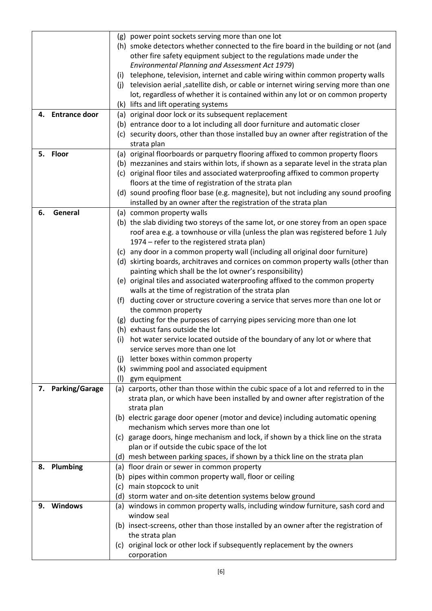| (g) power point sockets serving more than one lot<br>(h) smoke detectors whether connected to the fire board in the building or not (and<br>other fire safety equipment subject to the regulations made under the |  |
|-------------------------------------------------------------------------------------------------------------------------------------------------------------------------------------------------------------------|--|
| Environmental Planning and Assessment Act 1979)                                                                                                                                                                   |  |
| telephone, television, internet and cable wiring within common property walls<br>(i)                                                                                                                              |  |
| television aerial , satellite dish, or cable or internet wiring serving more than one<br>(i)                                                                                                                      |  |
| lot, regardless of whether it is contained within any lot or on common property                                                                                                                                   |  |
| (k) lifts and lift operating systems                                                                                                                                                                              |  |
| 4. Entrance door<br>(a) original door lock or its subsequent replacement                                                                                                                                          |  |
| (b) entrance door to a lot including all door furniture and automatic closer                                                                                                                                      |  |
| (c) security doors, other than those installed buy an owner after registration of the                                                                                                                             |  |
| strata plan                                                                                                                                                                                                       |  |
| 5. Floor<br>(a) original floorboards or parquetry flooring affixed to common property floors                                                                                                                      |  |
| (b) mezzanines and stairs within lots, if shown as a separate level in the strata plan                                                                                                                            |  |
| (c) original floor tiles and associated waterproofing affixed to common property                                                                                                                                  |  |
| floors at the time of registration of the strata plan                                                                                                                                                             |  |
| (d) sound proofing floor base (e.g. magnesite), but not including any sound proofing                                                                                                                              |  |
| installed by an owner after the registration of the strata plan                                                                                                                                                   |  |
| General<br>6.<br>(a) common property walls                                                                                                                                                                        |  |
| (b) the slab dividing two storeys of the same lot, or one storey from an open space                                                                                                                               |  |
| roof area e.g. a townhouse or villa (unless the plan was registered before 1 July                                                                                                                                 |  |
| 1974 – refer to the registered strata plan)                                                                                                                                                                       |  |
| (c) any door in a common property wall (including all original door furniture)                                                                                                                                    |  |
| (d) skirting boards, architraves and cornices on common property walls (other than                                                                                                                                |  |
| painting which shall be the lot owner's responsibility)                                                                                                                                                           |  |
| (e) original tiles and associated waterproofing affixed to the common property                                                                                                                                    |  |
| walls at the time of registration of the strata plan                                                                                                                                                              |  |
| ducting cover or structure covering a service that serves more than one lot or<br>(f)                                                                                                                             |  |
| the common property                                                                                                                                                                                               |  |
| (g) ducting for the purposes of carrying pipes servicing more than one lot                                                                                                                                        |  |
| (h) exhaust fans outside the lot                                                                                                                                                                                  |  |
| hot water service located outside of the boundary of any lot or where that<br>(i)                                                                                                                                 |  |
| service serves more than one lot                                                                                                                                                                                  |  |
| letter boxes within common property<br>(i)                                                                                                                                                                        |  |
| swimming pool and associated equipment<br>(k)                                                                                                                                                                     |  |
| gym equipment<br>(1)                                                                                                                                                                                              |  |
| 7. Parking/Garage<br>(a) carports, other than those within the cubic space of a lot and referred to in the                                                                                                        |  |
| strata plan, or which have been installed by and owner after registration of the                                                                                                                                  |  |
| strata plan                                                                                                                                                                                                       |  |
| (b) electric garage door opener (motor and device) including automatic opening                                                                                                                                    |  |
| mechanism which serves more than one lot                                                                                                                                                                          |  |
| (c) garage doors, hinge mechanism and lock, if shown by a thick line on the strata                                                                                                                                |  |
| plan or if outside the cubic space of the lot                                                                                                                                                                     |  |
| (d) mesh between parking spaces, if shown by a thick line on the strata plan                                                                                                                                      |  |
| 8. Plumbing<br>(a) floor drain or sewer in common property                                                                                                                                                        |  |
| (b) pipes within common property wall, floor or ceiling                                                                                                                                                           |  |
| main stopcock to unit<br>(c)                                                                                                                                                                                      |  |
| (d) storm water and on-site detention systems below ground<br>Windows                                                                                                                                             |  |
|                                                                                                                                                                                                                   |  |
| (a) windows in common property walls, including window furniture, sash cord and<br>9.                                                                                                                             |  |
| window seal                                                                                                                                                                                                       |  |
| (b) insect-screens, other than those installed by an owner after the registration of                                                                                                                              |  |
| the strata plan<br>(c) original lock or other lock if subsequently replacement by the owners                                                                                                                      |  |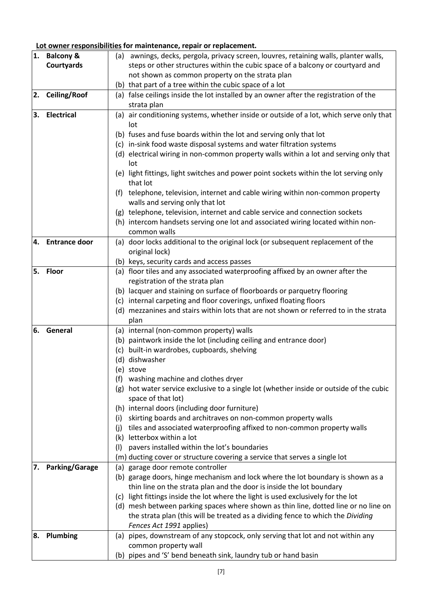# **Lot owner responsibilities for maintenance, repair or replacement.**

| 1. | <b>Balcony &amp;</b>  | awnings, decks, pergola, privacy screen, louvres, retaining walls, planter walls,<br>(a)                                                                  |
|----|-----------------------|-----------------------------------------------------------------------------------------------------------------------------------------------------------|
|    | Courtyards            | steps or other structures within the cubic space of a balcony or courtyard and                                                                            |
|    |                       | not shown as common property on the strata plan                                                                                                           |
|    |                       | (b) that part of a tree within the cubic space of a lot                                                                                                   |
| 2. | <b>Ceiling/Roof</b>   | (a) false ceilings inside the lot installed by an owner after the registration of the                                                                     |
|    |                       | strata plan                                                                                                                                               |
| 3. | <b>Electrical</b>     | (a) air conditioning systems, whether inside or outside of a lot, which serve only that                                                                   |
|    |                       | lot                                                                                                                                                       |
|    |                       | (b) fuses and fuse boards within the lot and serving only that lot                                                                                        |
|    |                       | (c) in-sink food waste disposal systems and water filtration systems                                                                                      |
|    |                       | (d) electrical wiring in non-common property walls within a lot and serving only that                                                                     |
|    |                       | lot<br>(e) light fittings, light switches and power point sockets within the lot serving only                                                             |
|    |                       | that lot                                                                                                                                                  |
|    |                       | telephone, television, internet and cable wiring within non-common property<br>(t)                                                                        |
|    |                       | walls and serving only that lot                                                                                                                           |
|    |                       | (g) telephone, television, internet and cable service and connection sockets                                                                              |
|    |                       | (h) intercom handsets serving one lot and associated wiring located within non-                                                                           |
|    |                       | common walls                                                                                                                                              |
| 4. | <b>Entrance door</b>  | (a) door locks additional to the original lock (or subsequent replacement of the                                                                          |
|    |                       | original lock)                                                                                                                                            |
|    |                       | (b) keys, security cards and access passes                                                                                                                |
| 5. | <b>Floor</b>          | (a) floor tiles and any associated waterproofing affixed by an owner after the                                                                            |
|    |                       | registration of the strata plan                                                                                                                           |
|    |                       | (b) lacquer and staining on surface of floorboards or parquetry flooring                                                                                  |
|    |                       | (c) internal carpeting and floor coverings, unfixed floating floors                                                                                       |
|    |                       | (d) mezzanines and stairs within lots that are not shown or referred to in the strata                                                                     |
| 6. | General               | plan                                                                                                                                                      |
|    |                       | (a) internal (non-common property) walls<br>(b) paintwork inside the lot (including ceiling and entrance door)                                            |
|    |                       | built-in wardrobes, cupboards, shelving<br>(c)                                                                                                            |
|    |                       | (d) dishwasher                                                                                                                                            |
|    |                       | (e) stove                                                                                                                                                 |
|    |                       | (f) washing machine and clothes dryer                                                                                                                     |
|    |                       | hot water service exclusive to a single lot (whether inside or outside of the cubic<br>(g)                                                                |
|    |                       | space of that lot)                                                                                                                                        |
|    |                       | (h) internal doors (including door furniture)                                                                                                             |
|    |                       | skirting boards and architraves on non-common property walls<br>(i)                                                                                       |
|    |                       | tiles and associated waterproofing affixed to non-common property walls<br>(i)                                                                            |
|    |                       | letterbox within a lot<br>(k)                                                                                                                             |
|    |                       | pavers installed within the lot's boundaries<br>(1)                                                                                                       |
|    |                       | (m) ducting cover or structure covering a service that serves a single lot                                                                                |
| 7. | <b>Parking/Garage</b> | (a) garage door remote controller                                                                                                                         |
|    |                       | (b) garage doors, hinge mechanism and lock where the lot boundary is shown as a                                                                           |
|    |                       | thin line on the strata plan and the door is inside the lot boundary<br>(c) light fittings inside the lot where the light is used exclusively for the lot |
|    |                       | (d) mesh between parking spaces where shown as thin line, dotted line or no line on                                                                       |
|    |                       | the strata plan (this will be treated as a dividing fence to which the Dividing                                                                           |
|    |                       | Fences Act 1991 applies)                                                                                                                                  |
| 8. | Plumbing              | (a) pipes, downstream of any stopcock, only serving that lot and not within any                                                                           |
|    |                       | common property wall                                                                                                                                      |
|    |                       | (b) pipes and 'S' bend beneath sink, laundry tub or hand basin                                                                                            |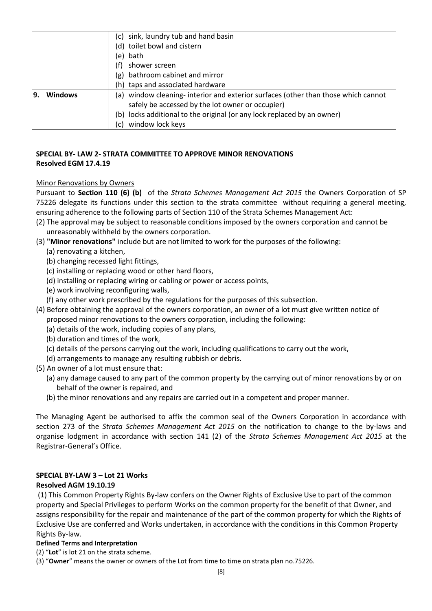|                       | (c) sink, laundry tub and hand basin                                              |
|-----------------------|-----------------------------------------------------------------------------------|
|                       | (d) toilet bowl and cistern                                                       |
|                       | (e) bath                                                                          |
| (f)                   | shower screen                                                                     |
| (g)                   | bathroom cabinet and mirror                                                       |
|                       | (h) taps and associated hardware                                                  |
| <b>Windows</b><br>19. | (a) window cleaning-interior and exterior surfaces (other than those which cannot |
|                       | safely be accessed by the lot owner or occupier)                                  |
|                       | (b) locks additional to the original (or any lock replaced by an owner)           |
| (c)                   | window lock keys                                                                  |

# **SPECIAL BY- LAW 2- STRATA COMMITTEE TO APPROVE MINOR RENOVATIONS Resolved EGM 17.4.19**

# Minor Renovations by Owners

Pursuant to **Section 110 (6) (b)** of the *Strata Schemes Management Act 2015* the Owners Corporation of SP 75226 delegate its functions under this section to the strata committee without requiring a general meeting, ensuring adherence to the following parts of Section 110 of the Strata Schemes Management Act:

- (2) The approval may be subject to reasonable conditions imposed by the owners corporation and cannot be unreasonably withheld by the owners corporation.
- (3) **"Minor renovations"** include but are not limited to work for the purposes of the following:
	- (a) renovating a kitchen,
	- (b) changing recessed light fittings,
	- (c) installing or replacing wood or other hard floors,
	- (d) installing or replacing wiring or cabling or power or access points,
	- (e) work involving reconfiguring walls,
	- (f) any other work prescribed by the regulations for the purposes of this subsection.
- (4) Before obtaining the approval of the owners corporation, an owner of a lot must give written notice of proposed minor renovations to the owners corporation, including the following:
	- (a) details of the work, including copies of any plans,
	- (b) duration and times of the work,
	- (c) details of the persons carrying out the work, including qualifications to carry out the work,
	- (d) arrangements to manage any resulting rubbish or debris.
- (5) An owner of a lot must ensure that:
	- (a) any damage caused to any part of the common property by the carrying out of minor renovations by or on behalf of the owner is repaired, and
	- (b) the minor renovations and any repairs are carried out in a competent and proper manner.

The Managing Agent be authorised to affix the common seal of the Owners Corporation in accordance with section 273 of the *Strata Schemes Management Act 2015* on the notification to change to the by-laws and organise lodgment in accordance with section 141 (2) of the *Strata Schemes Management Act 2015* at the Registrar-General's Office.

# **SPECIAL BY-LAW 3 – Lot 21 Works**

## **Resolved AGM 19.10.19**

(1) This Common Property Rights By-law confers on the Owner Rights of Exclusive Use to part of the common property and Special Privileges to perform Works on the common property for the benefit of that Owner, and assigns responsibility for the repair and maintenance of the part of the common property for which the Rights of Exclusive Use are conferred and Works undertaken, in accordance with the conditions in this Common Property Rights By-law.

## **Defined Terms and Interpretation**

- (2) "**Lot**" is lot 21 on the strata scheme.
- (3) "**Owner**" means the owner or owners of the Lot from time to time on strata plan no.75226.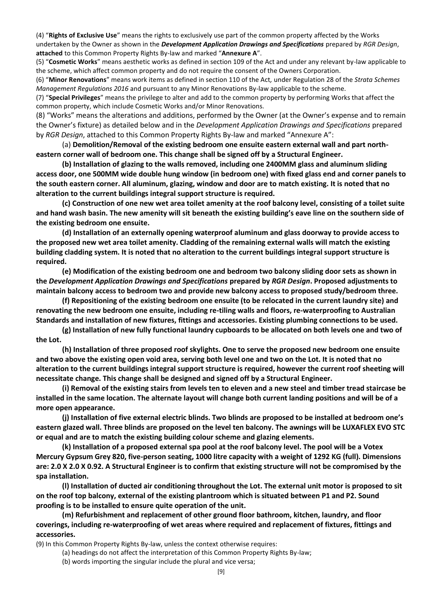(4) "**Rights of Exclusive Use**" means the rights to exclusively use part of the common property affected by the Works undertaken by the Owner as shown in the *Development Application Drawings and Specifications* prepared by *RGR Design*, **attached** to this Common Property Rights By-law and marked "**Annexure A**".

(5) "**Cosmetic Works**" means aesthetic works as defined in section 109 of the Act and under any relevant by-law applicable to the scheme, which affect common property and do not require the consent of the Owners Corporation.

(6) "**Minor Renovations**" means work items as defined in section 110 of the Act*,* under Regulation 28 of the *Strata Schemes Management Regulations 2016* and pursuant to any Minor Renovations By-law applicable to the scheme.

(7) "**Special Privileges**" means the privilege to alter and add to the common property by performing Works that affect the common property, which include Cosmetic Works and/or Minor Renovations.

(8) "Works" means the alterations and additions, performed by the Owner (at the Owner's expense and to remain the Owner's fixture) as detailed below and in the *Development Application Drawings and Specifications* prepared by *RGR Design*, attached to this Common Property Rights By-law and marked "Annexure A":

(a) **Demolition/Removal of the existing bedroom one ensuite eastern external wall and part northeastern corner wall of bedroom one. This change shall be signed off by a Structural Engineer.** 

**(b) Installation of glazing to the walls removed, including one 2400MM glass and aluminum sliding access door, one 500MM wide double hung window (in bedroom one) with fixed glass end and corner panels to the south eastern corner. All aluminum, glazing, window and door are to match existing. It is noted that no alteration to the current buildings integral support structure is required.** 

**(c) Construction of one new wet area toilet amenity at the roof balcony level, consisting of a toilet suite and hand wash basin. The new amenity will sit beneath the existing building's eave line on the southern side of the existing bedroom one ensuite.** 

**(d) Installation of an externally opening waterproof aluminum and glass doorway to provide access to the proposed new wet area toilet amenity. Cladding of the remaining external walls will match the existing building cladding system. It is noted that no alteration to the current buildings integral support structure is required.** 

**(e) Modification of the existing bedroom one and bedroom two balcony sliding door sets as shown in the** *Development Application Drawings and Specifications* **prepared by** *RGR Design***. Proposed adjustments to maintain balcony access to bedroom two and provide new balcony access to proposed study/bedroom three.** 

**(f) Repositioning of the existing bedroom one ensuite (to be relocated in the current laundry site) and renovating the new bedroom one ensuite, including re-tiling walls and floors, re-waterproofing to Australian Standards and installation of new fixtures, fittings and accessories. Existing plumbing connections to be used.** 

**(g) Installation of new fully functional laundry cupboards to be allocated on both levels one and two of the Lot.** 

**(h) Installation of three proposed roof skylights. One to serve the proposed new bedroom one ensuite and two above the existing open void area, serving both level one and two on the Lot. It is noted that no alteration to the current buildings integral support structure is required, however the current roof sheeting will necessitate change. This change shall be designed and signed off by a Structural Engineer.** 

**(i) Removal of the existing stairs from levels ten to eleven and a new steel and timber tread staircase be installed in the same location. The alternate layout will change both current landing positions and will be of a more open appearance.** 

**(j) Installation of five external electric blinds. Two blinds are proposed to be installed at bedroom one's eastern glazed wall. Three blinds are proposed on the level ten balcony. The awnings will be LUXAFLEX EVO STC or equal and are to match the existing building colour scheme and glazing elements.** 

**(k) Installation of a proposed external spa pool at the roof balcony level. The pool will be a Votex Mercury Gypsum Grey 820, five-person seating, 1000 litre capacity with a weight of 1292 KG (full). Dimensions are: 2.0 X 2.0 X 0.92. A Structural Engineer is to confirm that existing structure will not be compromised by the spa installation.** 

**(l) Installation of ducted air conditioning throughout the Lot. The external unit motor is proposed to sit on the roof top balcony, external of the existing plantroom which is situated between P1 and P2. Sound proofing is to be installed to ensure quite operation of the unit.** 

**(m) Refurbishment and replacement of other ground floor bathroom, kitchen, laundry, and floor coverings, including re-waterproofing of wet areas where required and replacement of fixtures, fittings and accessories.** 

(9) In this Common Property Rights By-law, unless the context otherwise requires:

- (a) headings do not affect the interpretation of this Common Property Rights By-law;
- (b) words importing the singular include the plural and vice versa;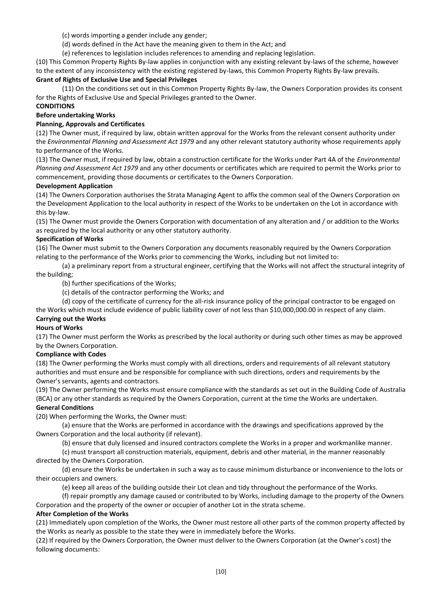(c) words importing a gender include any gender;

- (d) words defined in the Act have the meaning given to them in the Act; and
- (e) references to legislation includes references to amending and replacing legislation.

(10) This Common Property Rights By-law applies in conjunction with any existing relevant by-laws of the scheme, however to the extent of any inconsistency with the existing registered by-laws, this Common Property Rights By-law prevails.

#### **Grant of Rights of Exclusive Use and Special Privileges**

(11) On the conditions set out in this Common Property Rights By-law, the Owners Corporation provides its consent for the Rights of Exclusive Use and Special Privileges granted to the Owner.

### **CONDITIONS**

## **Before undertaking Works**

#### **Planning, Approvals and Certificates**

(12) The Owner must, if required by law, obtain written approval for the Works from the relevant consent authority under the *Environmental Planning and Assessment Act 1979* and any other relevant statutory authority whose requirements apply to performance of the Works.

(13) The Owner must, if required by law, obtain a construction certificate for the Works under Part 4A of the *Environmental Planning and Assessment Act 1979* and any other documents or certificates which are required to permit the Works prior to commencement, providing those documents or certificates to the Owners Corporation.

#### **Development Application**

(14) The Owners Corporation authorises the Strata Managing Agent to affix the common seal of the Owners Corporation on the Development Application to the local authority in respect of the Works to be undertaken on the Lot in accordance with this by-law.

(15) The Owner must provide the Owners Corporation with documentation of any alteration and / or addition to the Works as required by the local authority or any other statutory authority.

#### **Specification of Works**

(16) The Owner must submit to the Owners Corporation any documents reasonably required by the Owners Corporation relating to the performance of the Works prior to commencing the Works, including but not limited to:

(a) a preliminary report from a structural engineer, certifying that the Works will not affect the structural integrity of the building;

(b) further specifications of the Works;

(c) details of the contractor performing the Works; and

(d) copy of the certificate of currency for the all-risk insurance policy of the principal contractor to be engaged on

the Works which must include evidence of public liability cover of not less than \$10,000,000.00 in respect of any claim.

#### **Carrying out the Works**

## **Hours of Works**

(17) The Owner must perform the Works as prescribed by the local authority or during such other times as may be approved by the Owners Corporation.

#### **Compliance with Codes**

(18) The Owner performing the Works must comply with all directions, orders and requirements of all relevant statutory authorities and must ensure and be responsible for compliance with such directions, orders and requirements by the Owner's servants, agents and contractors.

(19) The Owner performing the Works must ensure compliance with the standards as set out in the Building Code of Australia (BCA) or any other standards as required by the Owners Corporation, current at the time the Works are undertaken. **General Conditions** 

(20) When performing the Works, the Owner must:

(a) ensure that the Works are performed in accordance with the drawings and specifications approved by the Owners Corporation and the local authority (if relevant).

(b) ensure that duly licensed and insured contractors complete the Works in a proper and workmanlike manner.

(c) must transport all construction materials, equipment, debris and other material, in the manner reasonably directed by the Owners Corporation.

(d) ensure the Works be undertaken in such a way as to cause minimum disturbance or inconvenience to the lots or their occupiers and owners.

(e) keep all areas of the building outside their Lot clean and tidy throughout the performance of the Works.

(f) repair promptly any damage caused or contributed to by Works, including damage to the property of the Owners Corporation and the property of the owner or occupier of another Lot in the strata scheme.

## **After Completion of the Works**

(21) Immediately upon completion of the Works, the Owner must restore all other parts of the common property affected by the Works as nearly as possible to the state they were in immediately before the Works.

(22) If required by the Owners Corporation, the Owner must deliver to the Owners Corporation (at the Owner's cost) the following documents: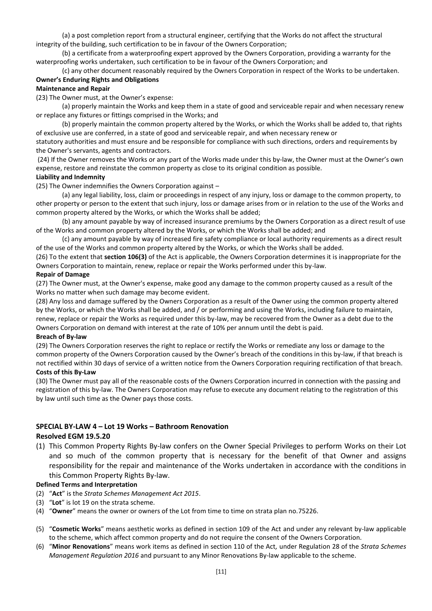(a) a post completion report from a structural engineer, certifying that the Works do not affect the structural integrity of the building, such certification to be in favour of the Owners Corporation;

(b) a certificate from a waterproofing expert approved by the Owners Corporation, providing a warranty for the waterproofing works undertaken, such certification to be in favour of the Owners Corporation; and

(c) any other document reasonably required by the Owners Corporation in respect of the Works to be undertaken. **Owner's Enduring Rights and Obligations** 

#### **Maintenance and Repair**

(23) The Owner must, at the Owner's expense:

(a) properly maintain the Works and keep them in a state of good and serviceable repair and when necessary renew or replace any fixtures or fittings comprised in the Works; and

(b) properly maintain the common property altered by the Works, or which the Works shall be added to, that rights of exclusive use are conferred, in a state of good and serviceable repair, and when necessary renew or

statutory authorities and must ensure and be responsible for compliance with such directions, orders and requirements by the Owner's servants, agents and contractors.

(24) If the Owner removes the Works or any part of the Works made under this by-law, the Owner must at the Owner's own expense, restore and reinstate the common property as close to its original condition as possible.

### **Liability and Indemnity**

(25) The Owner indemnifies the Owners Corporation against –

(a) any legal liability, loss, claim or proceedings in respect of any injury, loss or damage to the common property, to other property or person to the extent that such injury, loss or damage arises from or in relation to the use of the Works and common property altered by the Works, or which the Works shall be added;

(b) any amount payable by way of increased insurance premiums by the Owners Corporation as a direct result of use of the Works and common property altered by the Works, or which the Works shall be added; and

(c) any amount payable by way of increased fire safety compliance or local authority requirements as a direct result of the use of the Works and common property altered by the Works, or which the Works shall be added.

(26) To the extent that **section 106(3)** of the Act is applicable, the Owners Corporation determines it is inappropriate for the Owners Corporation to maintain, renew, replace or repair the Works performed under this by-law.

#### **Repair of Damage**

(27) The Owner must, at the Owner's expense, make good any damage to the common property caused as a result of the Works no matter when such damage may become evident.

(28) Any loss and damage suffered by the Owners Corporation as a result of the Owner using the common property altered by the Works, or which the Works shall be added, and / or performing and using the Works, including failure to maintain, renew, replace or repair the Works as required under this by-law, may be recovered from the Owner as a debt due to the Owners Corporation on demand with interest at the rate of 10% per annum until the debt is paid.

#### **Breach of By-law**

(29) The Owners Corporation reserves the right to replace or rectify the Works or remediate any loss or damage to the common property of the Owners Corporation caused by the Owner's breach of the conditions in this by-law, if that breach is not rectified within 30 days of service of a written notice from the Owners Corporation requiring rectification of that breach. **Costs of this By-Law** 

(30) The Owner must pay all of the reasonable costs of the Owners Corporation incurred in connection with the passing and registration of this by-law. The Owners Corporation may refuse to execute any document relating to the registration of this by law until such time as the Owner pays those costs.

#### **SPECIAL BY-LAW 4 – Lot 19 Works – Bathroom Renovation**

### **Resolved EGM 19.5.20**

(1) This Common Property Rights By-law confers on the Owner Special Privileges to perform Works on their Lot and so much of the common property that is necessary for the benefit of that Owner and assigns responsibility for the repair and maintenance of the Works undertaken in accordance with the conditions in this Common Property Rights By-law.

#### **Defined Terms and Interpretation**

- (2) "**Act**" is the *Strata Schemes Management Act 2015*.
- (3) "**Lot**" is lot 19 on the strata scheme.
- (4) "**Owner**" means the owner or owners of the Lot from time to time on strata plan no.75226.
- (5) "**Cosmetic Works**" means aesthetic works as defined in section 109 of the Act and under any relevant by-law applicable to the scheme, which affect common property and do not require the consent of the Owners Corporation.
- (6) "**Minor Renovations**" means work items as defined in section 110 of the Act*,* under Regulation 28 of the *Strata Schemes Management Regulation 2016* and pursuant to any Minor Renovations By-law applicable to the scheme.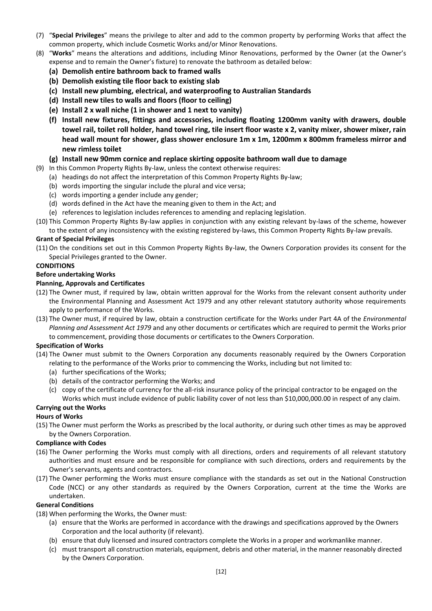- (7) "**Special Privileges**" means the privilege to alter and add to the common property by performing Works that affect the common property, which include Cosmetic Works and/or Minor Renovations.
- (8) "**Works**" means the alterations and additions, including Minor Renovations, performed by the Owner (at the Owner's expense and to remain the Owner's fixture) to renovate the bathroom as detailed below:
	- **(a) Demolish entire bathroom back to framed walls**
	- **(b) Demolish existing tile floor back to existing slab**
	- **(c) Install new plumbing, electrical, and waterproofing to Australian Standards**
	- **(d) Install new tiles to walls and floors (floor to ceiling)**
	- **(e) Install 2 x wall niche (1 in shower and 1 next to vanity)**
	- **(f) Install new fixtures, fittings and accessories, including floating 1200mm vanity with drawers, double towel rail, toilet roll holder, hand towel ring, tile insert floor waste x 2, vanity mixer, shower mixer, rain head wall mount for shower, glass shower enclosure 1m x 1m, 1200mm x 800mm frameless mirror and new rimless toilet**

#### **(g) Install new 90mm cornice and replace skirting opposite bathroom wall due to damage**

- (9) In this Common Property Rights By-law, unless the context otherwise requires:
	- (a) headings do not affect the interpretation of this Common Property Rights By-law;
	- (b) words importing the singular include the plural and vice versa;
	- (c) words importing a gender include any gender;
	- (d) words defined in the Act have the meaning given to them in the Act; and
	- (e) references to legislation includes references to amending and replacing legislation.
- (10) This Common Property Rights By-law applies in conjunction with any existing relevant by-laws of the scheme, however to the extent of any inconsistency with the existing registered by-laws, this Common Property Rights By-law prevails.

## **Grant of Special Privileges**

(11) On the conditions set out in this Common Property Rights By-law, the Owners Corporation provides its consent for the Special Privileges granted to the Owner.

#### **CONDITIONS**

#### **Before undertaking Works**

#### **Planning, Approvals and Certificates**

- (12) The Owner must, if required by law, obtain written approval for the Works from the relevant consent authority under the Environmental Planning and Assessment Act 1979 and any other relevant statutory authority whose requirements apply to performance of the Works.
- (13) The Owner must, if required by law, obtain a construction certificate for the Works under Part 4A of the *Environmental Planning and Assessment Act 1979* and any other documents or certificates which are required to permit the Works prior to commencement, providing those documents or certificates to the Owners Corporation.

#### **Specification of Works**

- (14) The Owner must submit to the Owners Corporation any documents reasonably required by the Owners Corporation relating to the performance of the Works prior to commencing the Works, including but not limited to:
	- (a) further specifications of the Works;
	- (b) details of the contractor performing the Works; and
	- (c) copy of the certificate of currency for the all-risk insurance policy of the principal contractor to be engaged on the Works which must include evidence of public liability cover of not less than \$10,000,000.00 in respect of any claim.

## **Carrying out the Works**

#### **Hours of Works**

(15) The Owner must perform the Works as prescribed by the local authority, or during such other times as may be approved by the Owners Corporation.

#### **Compliance with Codes**

- (16) The Owner performing the Works must comply with all directions, orders and requirements of all relevant statutory authorities and must ensure and be responsible for compliance with such directions, orders and requirements by the Owner's servants, agents and contractors.
- (17) The Owner performing the Works must ensure compliance with the standards as set out in the National Construction Code (NCC) or any other standards as required by the Owners Corporation, current at the time the Works are undertaken.

#### **General Conditions**

- (18) When performing the Works, the Owner must:
	- (a) ensure that the Works are performed in accordance with the drawings and specifications approved by the Owners Corporation and the local authority (if relevant).
	- (b) ensure that duly licensed and insured contractors complete the Works in a proper and workmanlike manner.
	- (c) must transport all construction materials, equipment, debris and other material, in the manner reasonably directed by the Owners Corporation.